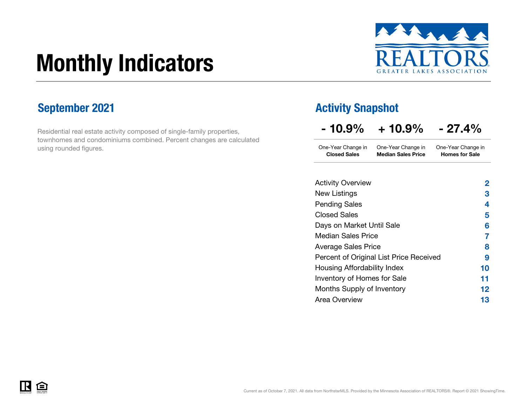# Monthly Indicators



Residential real estate activity composed of single-family properties, townhomes and condominiums combined. Percent changes are calculated using rounded figures.

### September 2021 **Activity Snapshot**

| $-10.9\%$ | $+10.9\%$ | $-27.4%$ |
|-----------|-----------|----------|
|-----------|-----------|----------|

One-Year Change in One-Year Change in Closed Sales Median Sales PriceOne-Year Change in Homes for Sale

| <b>Activity Overview</b>                | 2  |
|-----------------------------------------|----|
| New Listings                            | 3  |
| <b>Pending Sales</b>                    | 4  |
| <b>Closed Sales</b>                     | 5  |
| Days on Market Until Sale               | 6  |
| <b>Median Sales Price</b>               | 7  |
| <b>Average Sales Price</b>              | 8  |
| Percent of Original List Price Received | 9  |
| Housing Affordability Index             | 10 |
| Inventory of Homes for Sale             | 11 |
| Months Supply of Inventory              | 12 |
| Area Overview                           | 13 |

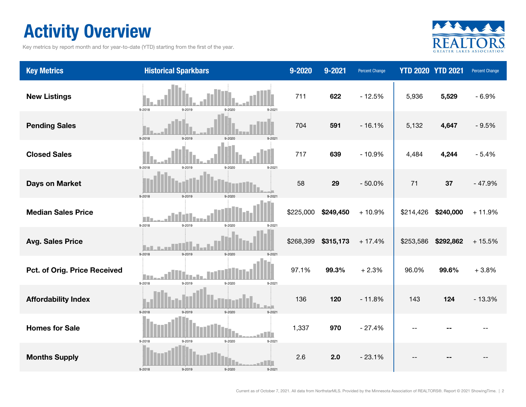### Activity Overview

Key metrics by report month and for year-to-date (YTD) starting from the first of the year.



| <b>Key Metrics</b>           | <b>Historical Sparkbars</b>                                      | $9 - 2020$ | 9-2021    | <b>Percent Change</b> |           | <b>YTD 2020 YTD 2021</b> | Percent Change |
|------------------------------|------------------------------------------------------------------|------------|-----------|-----------------------|-----------|--------------------------|----------------|
| <b>New Listings</b>          | 9-2018<br>9-2019<br>9-2020<br>$9 - 2021$                         | 711        | 622       | $-12.5%$              | 5,936     | 5,529                    | $-6.9%$        |
| <b>Pending Sales</b>         | 9-2018<br>9-2019<br>$9 - 202$                                    | 704        | 591       | $-16.1%$              | 5,132     | 4,647                    | $-9.5%$        |
| <b>Closed Sales</b>          | 9-2018<br>9-2019<br>9-2020<br>$9 - 2021$                         | 717        | 639       | $-10.9%$              | 4,484     | 4,244                    | $-5.4%$        |
| <b>Days on Market</b>        | 9-2018<br>9-2019<br>9-2020<br>$9 - 202$                          | 58         | 29        | $-50.0%$              | 71        | 37                       | $-47.9%$       |
| <b>Median Sales Price</b>    | 9-2018<br>9-2019<br>9-2020<br>$9 - 2021$                         | \$225,000  | \$249,450 | $+10.9%$              | \$214,426 | \$240,000                | $+11.9%$       |
| <b>Avg. Sales Price</b>      | 9-2018<br>9-2019<br>$9 - 2020$<br>$9 - 202$                      | \$268,399  | \$315,173 | $+17.4%$              | \$253,586 | \$292,862                | $+15.5%$       |
| Pct. of Orig. Price Received | <b>TELESCOPE</b><br>$9 - 2018$<br>9-2019<br>9-2020<br>$9 - 2021$ | 97.1%      | 99.3%     | $+2.3%$               | 96.0%     | 99.6%                    | $+3.8%$        |
| <b>Affordability Index</b>   | 9-2018<br>9-2019<br>9-2020<br>$9 - 202$                          | 136        | 120       | $-11.8%$              | 143       | 124                      | $-13.3%$       |
| <b>Homes for Sale</b>        | - I I<br>9-2018<br>9-2019<br>9-2020<br>$9 - 2021$                | 1,337      | 970       | $-27.4%$              |           |                          |                |
| <b>Months Supply</b>         | 9-2018<br>9-2019<br>9-2020<br>9-2021                             | 2.6        | 2.0       | $-23.1%$              |           |                          |                |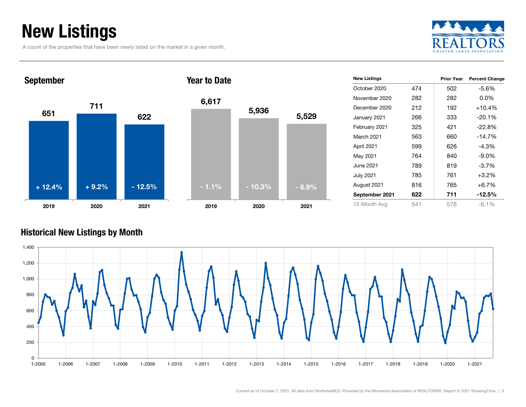### New Listings

A count of the properties that have been newly listed on the market in a given month.





| <b>New Listings</b> |     | <b>Prior Year</b> | <b>Percent Change</b> |
|---------------------|-----|-------------------|-----------------------|
| October 2020        | 474 | 502               | -5.6%                 |
| November 2020       | 282 | 282               | $0.0\%$               |
| December 2020       | 212 | 192               | $+10.4%$              |
| January 2021        | 266 | 333               | $-20.1%$              |
| February 2021       | 325 | 421               | $-22.8%$              |
| March 2021          | 563 | 660               | $-14.7\%$             |
| April 2021          | 599 | 626               | $-4.3%$               |
| May 2021            | 764 | 840               | $-9.0\%$              |
| June 2021.          | 789 | 819               | $-3.7\%$              |
| <b>July 2021</b>    | 785 | 761               | $+3.2\%$              |
| August 2021         | 816 | 765               | $+6.7%$               |
| September 2021      | 622 | 711               | $-12.5\%$             |
| 12-Month Avg        | 541 | 576               | $-6.1\%$              |

#### Historical New Listings by Month

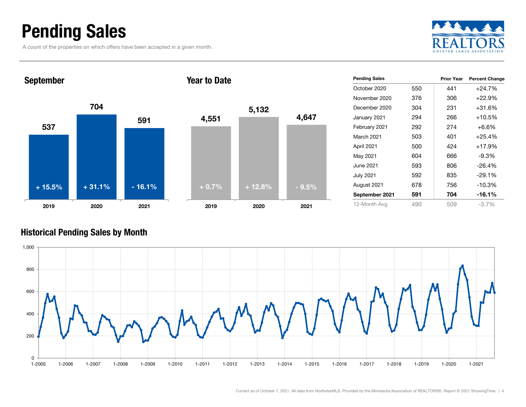### Pending Sales

A count of the properties on which offers have been accepted in a given month.





| <b>Pending Sales</b> |     | <b>Prior Year</b> | <b>Percent Change</b> |
|----------------------|-----|-------------------|-----------------------|
| October 2020         | 550 | 441               | $+24.7%$              |
| November 2020        | 376 | 306               | $+22.9%$              |
| December 2020        | 304 | 231               | +31.6%                |
| January 2021         | 294 | 266               | $+10.5%$              |
| February 2021        | 292 | 274               | $+6.6\%$              |
| <b>March 2021</b>    | 503 | 401               | $+25.4%$              |
| April 2021           | 500 | 424               | $+17.9%$              |
| May 2021             | 604 | 666               | -9.3%                 |
| June 2021.           | 593 | 806               | $-26.4%$              |
| <b>July 2021</b>     | 592 | 835               | $-29.1%$              |
| August 2021          | 678 | 756               | $-10.3%$              |
| September 2021       | 591 | 704               | $-16.1%$              |
| 12-Month Avg         | 490 | 509               | $-3.7\%$              |

#### Historical Pending Sales by Month

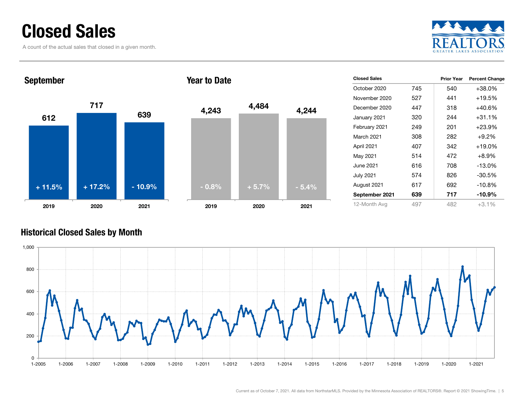### Closed Sales

A count of the actual sales that closed in a given month.





| <b>Closed Sales</b> |     | <b>Prior Year</b> | <b>Percent Change</b> |
|---------------------|-----|-------------------|-----------------------|
| October 2020        | 745 | 540               | $+38.0%$              |
| November 2020       | 527 | 441               | $+19.5%$              |
| December 2020       | 447 | 318               | $+40.6%$              |
| January 2021        | 320 | 244               | $+31.1%$              |
| February 2021       | 249 | 201               | $+23.9%$              |
| <b>March 2021</b>   | 308 | 282               | $+9.2%$               |
| April 2021          | 407 | 342               | $+19.0\%$             |
| May 2021            | 514 | 472               | $+8.9%$               |
| June 2021           | 616 | 708               | $-13.0%$              |
| <b>July 2021</b>    | 574 | 826               | $-30.5%$              |
| August 2021         | 617 | 692               | $-10.8%$              |
| September 2021      | 639 | 717               | $-10.9\%$             |
| 12-Month Avg        | 497 | 482               | $+3.1%$               |

#### Historical Closed Sales by Month

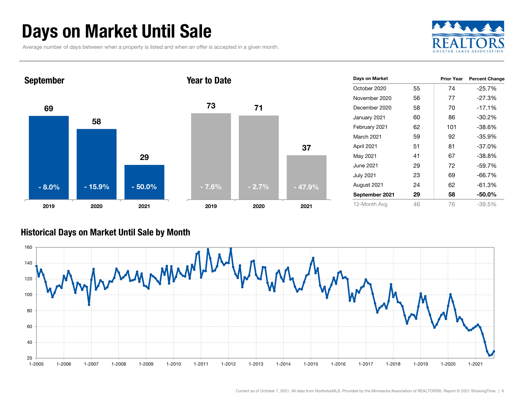### Days on Market Until Sale

Average number of days between when a property is listed and when an offer is accepted in a given month.





#### Historical Days on Market Until Sale by Month

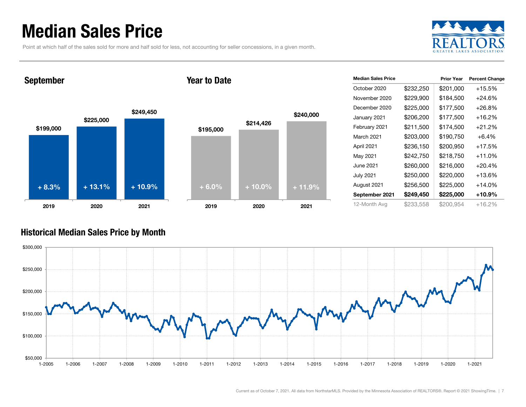### Median Sales Price

Point at which half of the sales sold for more and half sold for less, not accounting for seller concessions, in a given month.



#### September

#### Year to Date



| <b>Median Sales Price</b> |           | <b>Prior Year</b> | <b>Percent Change</b> |
|---------------------------|-----------|-------------------|-----------------------|
| October 2020              | \$232,250 | \$201,000         | $+15.5%$              |
| November 2020             | \$229,900 | \$184,500         | $+24.6%$              |
| December 2020             | \$225,000 | \$177,500         | $+26.8%$              |
| January 2021              | \$206,200 | \$177,500         | +16.2%                |
| February 2021             | \$211,500 | \$174,500         | $+21.2%$              |
| March 2021                | \$203,000 | \$190,750         | $+6.4\%$              |
| April 2021                | \$236,150 | \$200,950         | $+17.5%$              |
| May 2021                  | \$242,750 | \$218,750         | $+11.0%$              |
| June 2021                 | \$260,000 | \$216,000         | $+20.4%$              |
| <b>July 2021</b>          | \$250,000 | \$220,000         | $+13.6%$              |
| August 2021               | \$256,500 | \$225,000         | $+14.0%$              |
| September 2021            | \$249,450 | \$225,000         | +10.9%                |
| 12-Month Avg              | \$233,558 | \$200,954         | $+16.2%$              |

#### Historical Median Sales Price by Month

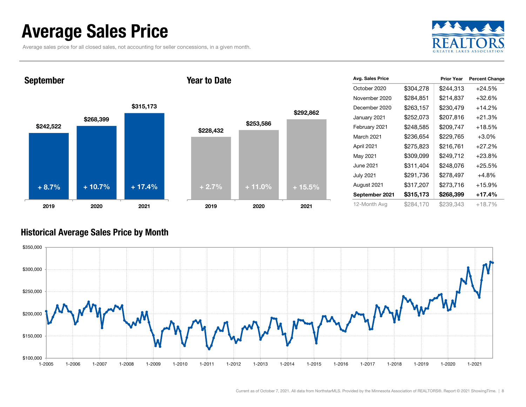### Average Sales Price

Average sales price for all closed sales, not accounting for seller concessions, in a given month.



September

#### Year to Date



| Avg. Sales Price |           | <b>Prior Year</b> | <b>Percent Change</b> |  |  |
|------------------|-----------|-------------------|-----------------------|--|--|
| October 2020     | \$304,278 | \$244,313         | $+24.5%$              |  |  |
| November 2020    | \$284,851 | \$214,837         | $+32.6%$              |  |  |
| December 2020    | \$263,157 | \$230,479         | $+14.2%$              |  |  |
| January 2021     | \$252,073 | \$207,816         | $+21.3%$              |  |  |
| February 2021    | \$248,585 | \$209,747         | $+18.5%$              |  |  |
| March 2021       | \$236,654 | \$229,765         | $+3.0%$               |  |  |
| April 2021       | \$275,823 | \$216,761         | $+27.2%$              |  |  |
| May 2021         | \$309,099 | \$249,712         | $+23.8%$              |  |  |
| June 2021        | \$311,404 | \$248,076         | $+25.5%$              |  |  |
| <b>July 2021</b> | \$291,736 | \$278,497         | +4.8%                 |  |  |
| August 2021      | \$317,207 | \$273,716         | $+15.9%$              |  |  |
| September 2021   | \$315,173 | \$268,399         | +17.4%                |  |  |
| 12-Month Avg     | \$284,170 | \$239,343         | +18.7%                |  |  |

#### Historical Average Sales Price by Month

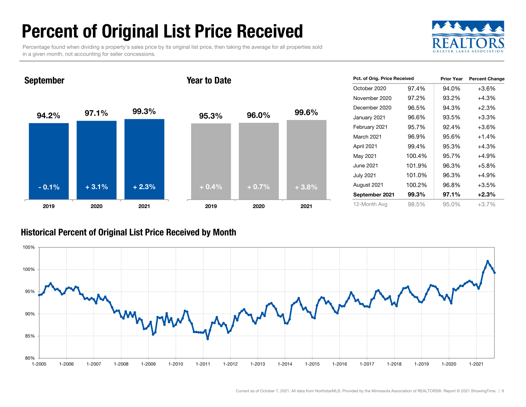### Percent of Original List Price Received

Percentage found when dividing a property's sales price by its original list price, then taking the average for all properties sold in a given month, not accounting for seller concessions.



94.2% 97.1% 99.3% 2019 2020 2021 September 95.3% 96.0% 99.6% 2019 2020 2021 Year to Date- 0.1% $\%$  + 3.1% + 2.3% + 0.4% + 0.7% + 3.8%

| Pct. of Orig. Price Received |        | <b>Prior Year</b> | <b>Percent Change</b> |  |  |
|------------------------------|--------|-------------------|-----------------------|--|--|
| October 2020                 | 97.4%  | 94.0%             | $+3.6%$               |  |  |
| November 2020                | 97.2%  | 93.2%             | +4.3%                 |  |  |
| December 2020                | 96.5%  | 94.3%             | $+2.3%$               |  |  |
| January 2021                 | 96.6%  | 93.5%             | $+3.3%$               |  |  |
| February 2021                | 95.7%  | 92.4%             | +3.6%                 |  |  |
| <b>March 2021</b>            | 96.9%  | 95.6%             | $+1.4%$               |  |  |
| April 2021                   | 99.4%  | 95.3%             | $+4.3%$               |  |  |
| May 2021                     | 100.4% | 95.7%             | $+4.9%$               |  |  |
| June 2021                    | 101.9% | 96.3%             | $+5.8%$               |  |  |
| <b>July 2021</b>             | 101.0% | 96.3%             | +4.9%                 |  |  |
| August 2021                  | 100.2% | 96.8%             | $+3.5%$               |  |  |
| September 2021               | 99.3%  | 97.1%             | $+2.3%$               |  |  |
| 12-Month Ava                 | 98.5%  | 95.0%             | +3.7%                 |  |  |

#### Historical Percent of Original List Price Received by Month

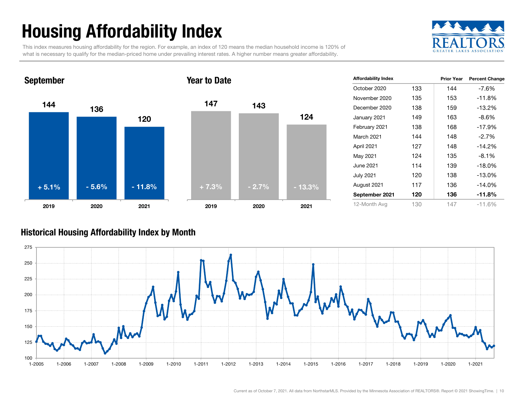## Housing Affordability Index

This index measures housing affordability for the region. For example, an index of 120 means the median household income is 120% of what is necessary to qualify for the median-priced home under prevailing interest rates. A higher number means greater affordability.





| <b>Affordability Index</b> |     | <b>Prior Year</b> | <b>Percent Change</b> |
|----------------------------|-----|-------------------|-----------------------|
| October 2020               | 133 | 144               | $-7.6%$               |
| November 2020              | 135 | 153               | -11.8%                |
| December 2020              | 138 | 159               | $-13.2\%$             |
| January 2021               | 149 | 163               | $-8.6%$               |
| February 2021              | 138 | 168               | -17.9%                |
| <b>March 2021</b>          | 144 | 148               | $-2.7%$               |
| April 2021                 | 127 | 148               | $-14.2%$              |
| May 2021                   | 124 | 135               | $-8.1%$               |
| June 2021                  | 114 | 139               | $-18.0\%$             |
| <b>July 2021</b>           | 120 | 138               | $-13.0\%$             |
| August 2021                | 117 | 136               | $-14.0\%$             |
| September 2021             | 120 | 136               | $-11.8%$              |
| 12-Month Avg               | 130 | 147               | $-11.6%$              |

#### Historical Housing Affordability Index by Mont h

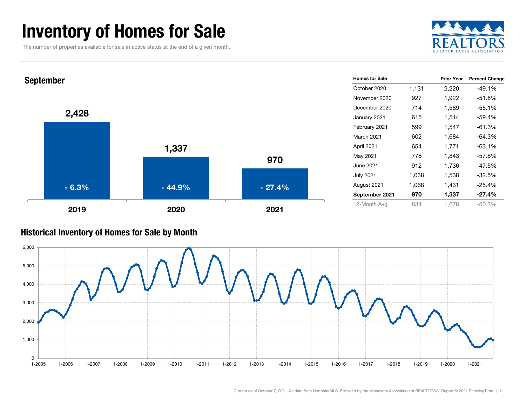### Inventory of Homes for Sale

The number of properties available for sale in active status at the end of a given month.





#### Historical Inventory of Homes for Sale by Month

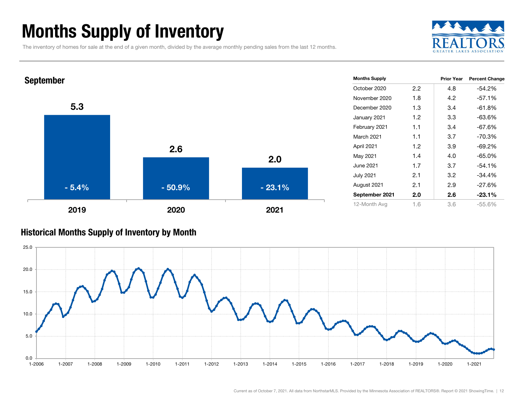### Months Supply of Inventory

The inventory of homes for sale at the end of a given month, divided by the average monthly pending sales from the last 12 months.





#### Historical Months Supply of Inventory by Month